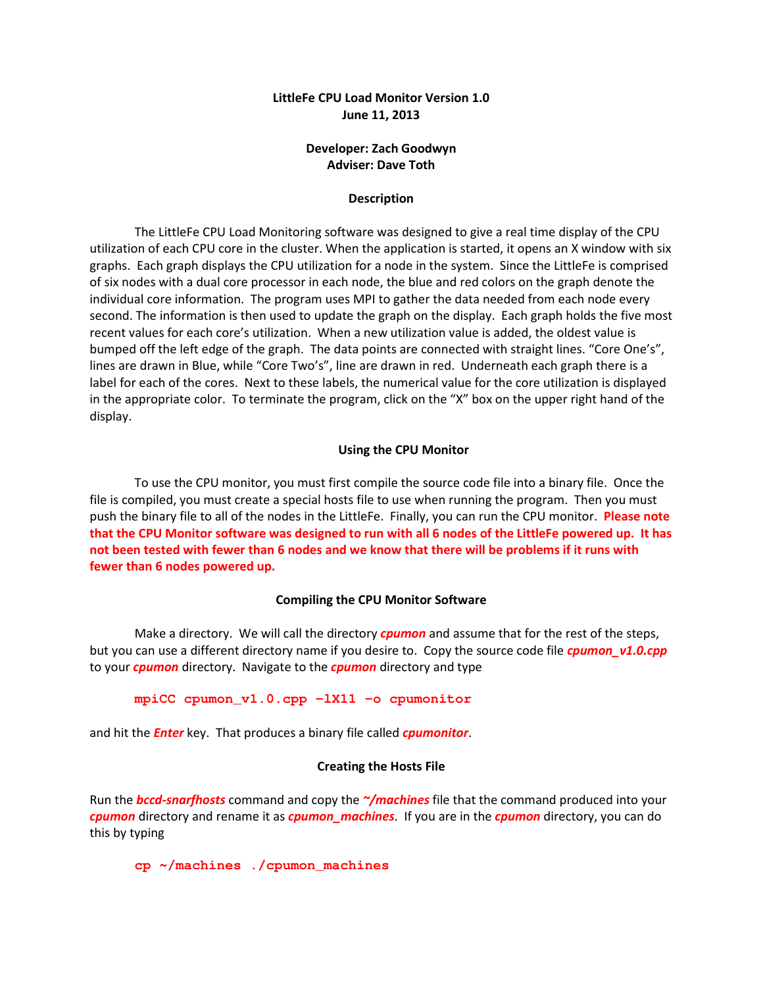## LittleFe CPU Load Monitor Version 1.0 June 11, 2013

## Developer: Zach Goodwyn Adviser: Dave Toth

### Description

The LittleFe CPU Load Monitoring software was designed to give a real time display of the CPU utilization of each CPU core in the cluster. When the application is started, it opens an X window with six graphs. Each graph displays the CPU utilization for a node in the system. Since the LittleFe is comprised of six nodes with a dual core processor in each node, the blue and red colors on the graph denote the individual core information. The program uses MPI to gather the data needed from each node every second. The information is then used to update the graph on the display. Each graph holds the five most recent values for each core's utilization. When a new utilization value is added, the oldest value is bumped off the left edge of the graph. The data points are connected with straight lines. "Core One's", lines are drawn in Blue, while "Core Two's", line are drawn in red. Underneath each graph there is a label for each of the cores. Next to these labels, the numerical value for the core utilization is displayed in the appropriate color. To terminate the program, click on the "X" box on the upper right hand of the display.

#### Using the CPU Monitor

To use the CPU monitor, you must first compile the source code file into a binary file. Once the file is compiled, you must create a special hosts file to use when running the program. Then you must push the binary file to all of the nodes in the LittleFe. Finally, you can run the CPU monitor. Please note that the CPU Monitor software was designed to run with all 6 nodes of the LittleFe powered up. It has not been tested with fewer than 6 nodes and we know that there will be problems if it runs with fewer than 6 nodes powered up.

#### Compiling the CPU Monitor Software

Make a directory. We will call the directory *cpumon* and assume that for the rest of the steps, but you can use a different directory name if you desire to. Copy the source code file *cpumon\_v1.0.cpp* to your *cpumon* directory. Navigate to the *cpumon* directory and type

**mpiCC cpumon\_v1.0.cpp -lX11 -o cpumonitor** 

and hit the **Enter** key. That produces a binary file called *cpumonitor*.

## Creating the Hosts File

Run the **bccd-snarfhosts** command and copy the  $\gamma$ **machines** file that the command produced into your cpumon directory and rename it as *cpumon\_machines*. If you are in the *cpumon* directory, you can do this by typing

**cp ~/machines ./cpumon\_machines**